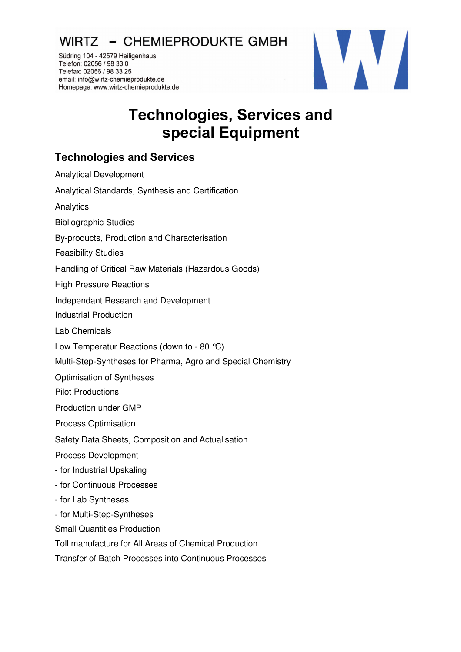WIRTZ - CHEMIEPRODUKTE GMBH

Südring 104 - 42579 Heiligenhaus Telefon: 02056 / 98 33 0 Telefax: 02056 / 98 33 25 email: info@wirtz-chemieprodukte.de Homepage: www.wirtz-chemieprodukte.de



## Technologies, Services and special Equipment

## **Technologies and Services**

| <b>Analytical Development</b>                               |
|-------------------------------------------------------------|
| Analytical Standards, Synthesis and Certification           |
| Analytics                                                   |
| <b>Bibliographic Studies</b>                                |
| By-products, Production and Characterisation                |
| <b>Feasibility Studies</b>                                  |
| Handling of Critical Raw Materials (Hazardous Goods)        |
| <b>High Pressure Reactions</b>                              |
| Independant Research and Development                        |
| <b>Industrial Production</b>                                |
| Lab Chemicals                                               |
| Low Temperatur Reactions (down to - 80 °C)                  |
| Multi-Step-Syntheses for Pharma, Agro and Special Chemistry |
| Optimisation of Syntheses                                   |
| <b>Pilot Productions</b>                                    |
| Production under GMP                                        |
| <b>Process Optimisation</b>                                 |
| Safety Data Sheets, Composition and Actualisation           |
| <b>Process Development</b>                                  |
| - for Industrial Upskaling                                  |
| - for Continuous Processes                                  |
| - for Lab Syntheses                                         |
| - for Multi-Step-Syntheses                                  |
| <b>Small Quantities Production</b>                          |
| Toll manufacture for All Areas of Chemical Production       |
| Transfer of Batch Processes into Continuous Processes       |